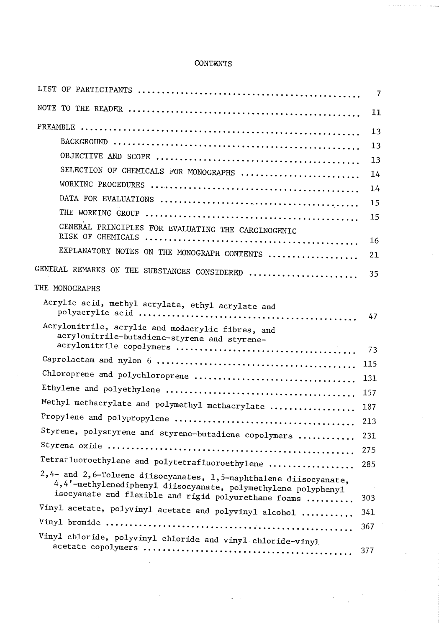## **CONTENTS**

|                                                                                                                                                                                            | $\overline{7}$ |
|--------------------------------------------------------------------------------------------------------------------------------------------------------------------------------------------|----------------|
|                                                                                                                                                                                            | 11             |
|                                                                                                                                                                                            | 13             |
|                                                                                                                                                                                            | 13             |
|                                                                                                                                                                                            | 13             |
| SELECTION OF CHEMICALS FOR MONOGRAPHS                                                                                                                                                      | 14             |
|                                                                                                                                                                                            | 14             |
|                                                                                                                                                                                            | 15             |
|                                                                                                                                                                                            | 15             |
| GENERAL PRINCIPLES FOR EVALUATING THE CARCINOGENIC                                                                                                                                         |                |
|                                                                                                                                                                                            | 16             |
| EXPLANATORY NOTES ON THE MONOGRAPH CONTENTS                                                                                                                                                | 21             |
| GENERAL REMARKS ON THE SUBSTANCES CONSIDERED                                                                                                                                               | 35             |
| THE MONOGRAPHS                                                                                                                                                                             |                |
| Acrylic acid, methyl acrylate, ethyl acrylate and                                                                                                                                          | 47             |
| Acrylonitrile, acrylic and modacrylic fibres, and<br>acrylonitrile-butadiene-styrene and styrene-                                                                                          | 73             |
|                                                                                                                                                                                            | 115            |
|                                                                                                                                                                                            | 131            |
|                                                                                                                                                                                            | 157            |
| Methyl methacrylate and polymethyl methacrylate                                                                                                                                            | 187            |
|                                                                                                                                                                                            | 213            |
| Styrene, polystyrene and styrene-butadiene copolymers                                                                                                                                      | 231            |
|                                                                                                                                                                                            | 275            |
| Tetrafluoroethylene and polytetrafluoroethylene                                                                                                                                            | 285            |
| 2,4- and 2,6-Toluene diisocyanates, 1,5-naphthalene diisocyanate,<br>4,4'-methylenediphenyl diisocyanate, polymethylene polyphenyl<br>isocyanate and flexible and rigid polyurethane foams | 303            |
| Vinyl acetate, polyvinyl acetate and polyvinyl alcohol                                                                                                                                     | 341            |
|                                                                                                                                                                                            | 367            |
| Vinyl chloride, polyvinyl chloride and vinyl chloride-vinyl                                                                                                                                | 377            |
|                                                                                                                                                                                            |                |